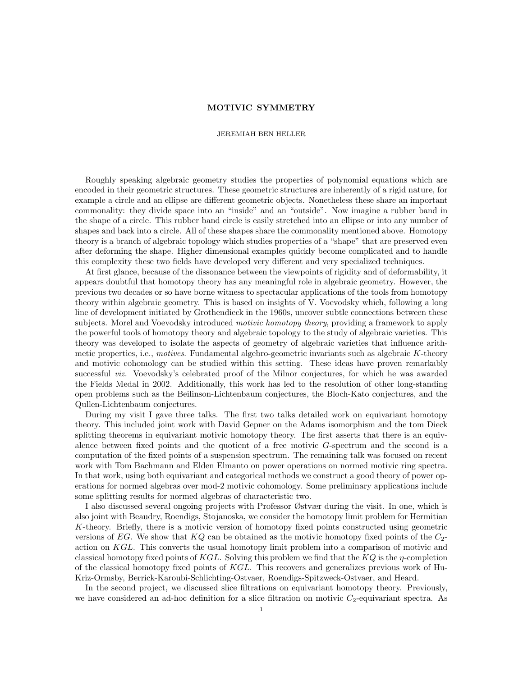## MOTIVIC SYMMETRY

## JEREMIAH BEN HELLER

Roughly speaking algebraic geometry studies the properties of polynomial equations which are encoded in their geometric structures. These geometric structures are inherently of a rigid nature, for example a circle and an ellipse are different geometric objects. Nonetheless these share an important commonality: they divide space into an "inside" and an "outside". Now imagine a rubber band in the shape of a circle. This rubber band circle is easily stretched into an ellipse or into any number of shapes and back into a circle. All of these shapes share the commonality mentioned above. Homotopy theory is a branch of algebraic topology which studies properties of a "shape" that are preserved even after deforming the shape. Higher dimensional examples quickly become complicated and to handle this complexity these two fields have developed very different and very specialized techniques.

At first glance, because of the dissonance between the viewpoints of rigidity and of deformability, it appears doubtful that homotopy theory has any meaningful role in algebraic geometry. However, the previous two decades or so have borne witness to spectacular applications of the tools from homotopy theory within algebraic geometry. This is based on insights of V. Voevodsky which, following a long line of development initiated by Grothendieck in the 1960s, uncover subtle connections between these subjects. Morel and Voevodsky introduced *motivic homotopy theory*, providing a framework to apply the powerful tools of homotopy theory and algebraic topology to the study of algebraic varieties. This theory was developed to isolate the aspects of geometry of algebraic varieties that influence arithmetic properties, i.e., *motives*. Fundamental algebro-geometric invariants such as algebraic K-theory and motivic cohomology can be studied within this setting. These ideas have proven remarkably successful viz. Voevodsky's celebrated proof of the Milnor conjectures, for which he was awarded the Fields Medal in 2002. Additionally, this work has led to the resolution of other long-standing open problems such as the Beilinson-Lichtenbaum conjectures, the Bloch-Kato conjectures, and the Qullen-Lichtenbaum conjectures.

During my visit I gave three talks. The first two talks detailed work on equivariant homotopy theory. This included joint work with David Gepner on the Adams isomorphism and the tom Dieck splitting theorems in equivariant motivic homotopy theory. The first asserts that there is an equivalence between fixed points and the quotient of a free motivic G-spectrum and the second is a computation of the fixed points of a suspension spectrum. The remaining talk was focused on recent work with Tom Bachmann and Elden Elmanto on power operations on normed motivic ring spectra. In that work, using both equivariant and categorical methods we construct a good theory of power operations for normed algebras over mod-2 motivic cohomology. Some preliminary applications include some splitting results for normed algebras of characteristic two.

I also discussed several ongoing projects with Professor Østvær during the visit. In one, which is also joint with Beaudry, Roendigs, Stojanoska, we consider the homotopy limit problem for Hermitian K-theory. Briefly, there is a motivic version of homotopy fixed points constructed using geometric versions of EG. We show that  $KQ$  can be obtained as the motivic homotopy fixed points of the  $C_2$ action on KGL. This converts the usual homotopy limit problem into a comparison of motivic and classical homotopy fixed points of KGL. Solving this problem we find that the  $KQ$  is the  $\eta$ -completion of the classical homotopy fixed points of KGL. This recovers and generalizes previous work of Hu-Kriz-Ormsby, Berrick-Karoubi-Schlichting-Ostvaer, Roendigs-Spitzweck-Ostvaer, and Heard.

In the second project, we discussed slice filtrations on equivariant homotopy theory. Previously, we have considered an ad-hoc definition for a slice filtration on motivic  $C_2$ -equivariant spectra. As